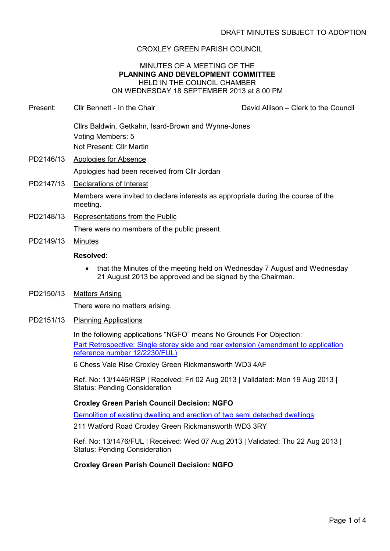## CROXLEY GREEN PARISH COUNCIL

## MINUTES OF A MEETING OF THE **PLANNING AND DEVELOPMENT COMMITTEE** HELD IN THE COUNCIL CHAMBER ON WEDNESDAY 18 SEPTEMBER 2013 at 8.00 PM

Present: Cllr Bennett - In the Chair David Allison – Clerk to the Council Cllrs Baldwin, Getkahn, Isard-Brown and Wynne-Jones

Voting Members: 5 Not Present: Cllr Martin

- PD2146/13 Apologies for Absence Apologies had been received from Cllr Jordan
- PD2147/13 Declarations of Interest

Members were invited to declare interests as appropriate during the course of the meeting.

- PD2148/13 Representations from the Public There were no members of the public present.
- PD2149/13 Minutes

## **Resolved:**

- that the Minutes of the meeting held on Wednesday 7 August and Wednesday 21 August 2013 be approved and be signed by the Chairman.
- PD2150/13 Matters Arising

There were no matters arising.

PD2151/13 Planning Applications

In the following applications "NGFO" means No Grounds For Objection:

Part Retrospective: Single storey side and rear extension (amendment to application reference number 12/2230/FUL)

6 Chess Vale Rise Croxley Green Rickmansworth WD3 4AF

Ref. No: 13/1446/RSP | Received: Fri 02 Aug 2013 | Validated: Mon 19 Aug 2013 | Status: Pending Consideration

# **Croxley Green Parish Council Decision: NGFO**

Demolition of existing dwelling and erection of two semi detached dwellings

211 Watford Road Croxley Green Rickmansworth WD3 3RY

Ref. No: 13/1476/FUL | Received: Wed 07 Aug 2013 | Validated: Thu 22 Aug 2013 | Status: Pending Consideration

# **Croxley Green Parish Council Decision: NGFO**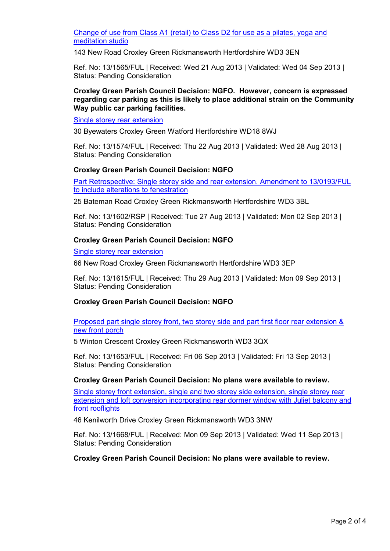Change of use from Class A1 (retail) to Class D2 for use as a pilates, yoga and meditation studio

143 New Road Croxley Green Rickmansworth Hertfordshire WD3 3EN

Ref. No: 13/1565/FUL | Received: Wed 21 Aug 2013 | Validated: Wed 04 Sep 2013 | Status: Pending Consideration

## **Croxley Green Parish Council Decision: NGFO. However, concern is expressed regarding car parking as this is likely to place additional strain on the Community Way public car parking facilities.**

Single storey rear extension

30 Byewaters Croxley Green Watford Hertfordshire WD18 8WJ

Ref. No: 13/1574/FUL | Received: Thu 22 Aug 2013 | Validated: Wed 28 Aug 2013 | Status: Pending Consideration

## **Croxley Green Parish Council Decision: NGFO**

Part Retrospective: Single storey side and rear extension. Amendment to 13/0193/FUL to include alterations to fenestration

25 Bateman Road Croxley Green Rickmansworth Hertfordshire WD3 3BL

Ref. No: 13/1602/RSP | Received: Tue 27 Aug 2013 | Validated: Mon 02 Sep 2013 | Status: Pending Consideration

## **Croxley Green Parish Council Decision: NGFO**

#### Single storey rear extension

66 New Road Croxley Green Rickmansworth Hertfordshire WD3 3EP

Ref. No: 13/1615/FUL | Received: Thu 29 Aug 2013 | Validated: Mon 09 Sep 2013 | Status: Pending Consideration

#### **Croxley Green Parish Council Decision: NGFO**

Proposed part single storey front, two storey side and part first floor rear extension & new front porch

5 Winton Crescent Croxley Green Rickmansworth WD3 3QX

Ref. No: 13/1653/FUL | Received: Fri 06 Sep 2013 | Validated: Fri 13 Sep 2013 | Status: Pending Consideration

#### **Croxley Green Parish Council Decision: No plans were available to review.**

Single storey front extension, single and two storey side extension, single storey rear extension and loft conversion incorporating rear dormer window with Juliet balcony and front rooflights

46 Kenilworth Drive Croxley Green Rickmansworth WD3 3NW

Ref. No: 13/1668/FUL | Received: Mon 09 Sep 2013 | Validated: Wed 11 Sep 2013 | Status: Pending Consideration

**Croxley Green Parish Council Decision: No plans were available to review.**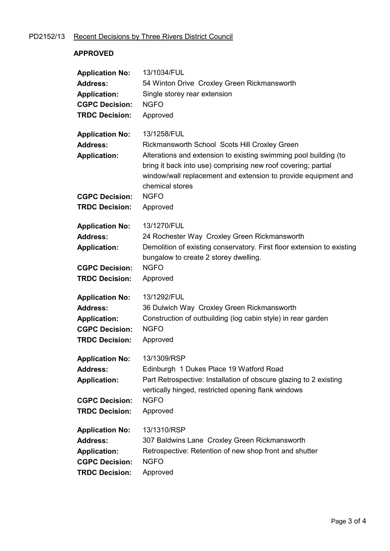# PD2152/13 Recent Decisions by Three Rivers District Council

## **APPROVED**

| <b>Application No:</b> | 13/1034/FUL                                                                                                                                                                                                            |
|------------------------|------------------------------------------------------------------------------------------------------------------------------------------------------------------------------------------------------------------------|
| <b>Address:</b>        | 54 Winton Drive Croxley Green Rickmansworth                                                                                                                                                                            |
| <b>Application:</b>    | Single storey rear extension                                                                                                                                                                                           |
| <b>CGPC Decision:</b>  | <b>NGFO</b>                                                                                                                                                                                                            |
| <b>TRDC Decision:</b>  | Approved                                                                                                                                                                                                               |
| <b>Application No:</b> | 13/1258/FUL                                                                                                                                                                                                            |
| <b>Address:</b>        | Rickmansworth School Scots Hill Croxley Green                                                                                                                                                                          |
| <b>Application:</b>    | Alterations and extension to existing swimming pool building (to<br>bring it back into use) comprising new roof covering; partial<br>window/wall replacement and extension to provide equipment and<br>chemical stores |
| <b>CGPC Decision:</b>  | <b>NGFO</b>                                                                                                                                                                                                            |
| <b>TRDC Decision:</b>  | Approved                                                                                                                                                                                                               |
| <b>Application No:</b> | 13/1270/FUL                                                                                                                                                                                                            |
| <b>Address:</b>        | 24 Rochester Way Croxley Green Rickmansworth                                                                                                                                                                           |
| <b>Application:</b>    | Demolition of existing conservatory. First floor extension to existing<br>bungalow to create 2 storey dwelling.                                                                                                        |
| <b>CGPC Decision:</b>  | <b>NGFO</b>                                                                                                                                                                                                            |
| <b>TRDC Decision:</b>  | Approved                                                                                                                                                                                                               |
| <b>Application No:</b> | 13/1292/FUL                                                                                                                                                                                                            |
| <b>Address:</b>        | 36 Dulwich Way Croxley Green Rickmansworth                                                                                                                                                                             |
| <b>Application:</b>    | Construction of outbuilding (log cabin style) in rear garden                                                                                                                                                           |
| <b>CGPC Decision:</b>  | <b>NGFO</b>                                                                                                                                                                                                            |
| <b>TRDC Decision:</b>  | Approved                                                                                                                                                                                                               |
| <b>Application No:</b> | 13/1309/RSP                                                                                                                                                                                                            |
| <b>Address:</b>        | Edinburgh 1 Dukes Place 19 Watford Road                                                                                                                                                                                |
| <b>Application:</b>    | Part Retrospective: Installation of obscure glazing to 2 existing<br>vertically hinged, restricted opening flank windows                                                                                               |
| <b>CGPC Decision:</b>  | <b>NGFO</b>                                                                                                                                                                                                            |
| <b>TRDC Decision:</b>  | Approved                                                                                                                                                                                                               |
| <b>Application No:</b> | 13/1310/RSP                                                                                                                                                                                                            |
| <b>Address:</b>        | 307 Baldwins Lane Croxley Green Rickmansworth                                                                                                                                                                          |
| <b>Application:</b>    | Retrospective: Retention of new shop front and shutter                                                                                                                                                                 |
| <b>CGPC Decision:</b>  | <b>NGFO</b>                                                                                                                                                                                                            |
| <b>TRDC Decision:</b>  | Approved                                                                                                                                                                                                               |